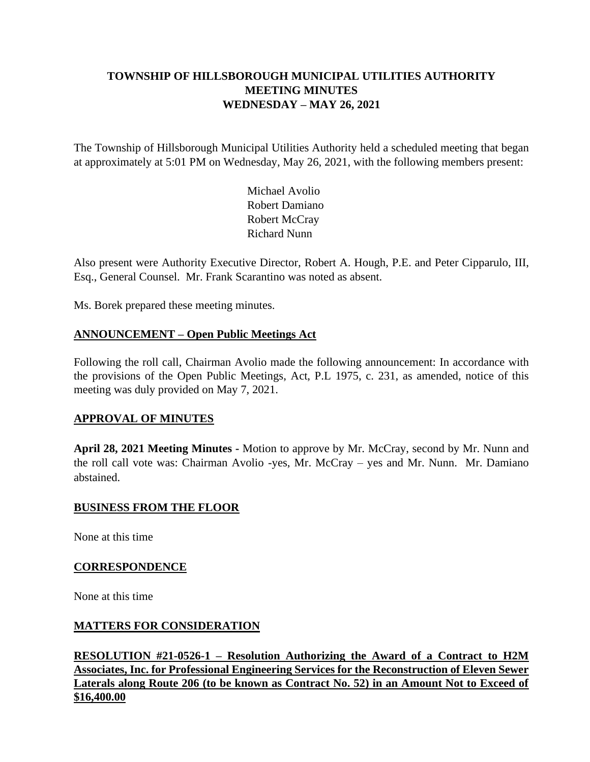# **TOWNSHIP OF HILLSBOROUGH MUNICIPAL UTILITIES AUTHORITY MEETING MINUTES WEDNESDAY – MAY 26, 2021**

The Township of Hillsborough Municipal Utilities Authority held a scheduled meeting that began at approximately at 5:01 PM on Wednesday, May 26, 2021, with the following members present:

> Michael Avolio Robert Damiano Robert McCray Richard Nunn

Also present were Authority Executive Director, Robert A. Hough, P.E. and Peter Cipparulo, III, Esq., General Counsel. Mr. Frank Scarantino was noted as absent.

Ms. Borek prepared these meeting minutes.

## **ANNOUNCEMENT – Open Public Meetings Act**

Following the roll call, Chairman Avolio made the following announcement: In accordance with the provisions of the Open Public Meetings, Act, P.L 1975, c. 231, as amended, notice of this meeting was duly provided on May 7, 2021.

### **APPROVAL OF MINUTES**

**April 28, 2021 Meeting Minutes -** Motion to approve by Mr. McCray, second by Mr. Nunn and the roll call vote was: Chairman Avolio -yes, Mr. McCray – yes and Mr. Nunn. Mr. Damiano abstained.

### **BUSINESS FROM THE FLOOR**

None at this time

### **CORRESPONDENCE**

None at this time

## **MATTERS FOR CONSIDERATION**

**RESOLUTION #21-0526-1 – Resolution Authorizing the Award of a Contract to H2M Associates, Inc. for Professional Engineering Services for the Reconstruction of Eleven Sewer Laterals along Route 206 (to be known as Contract No. 52) in an Amount Not to Exceed of \$16,400.00**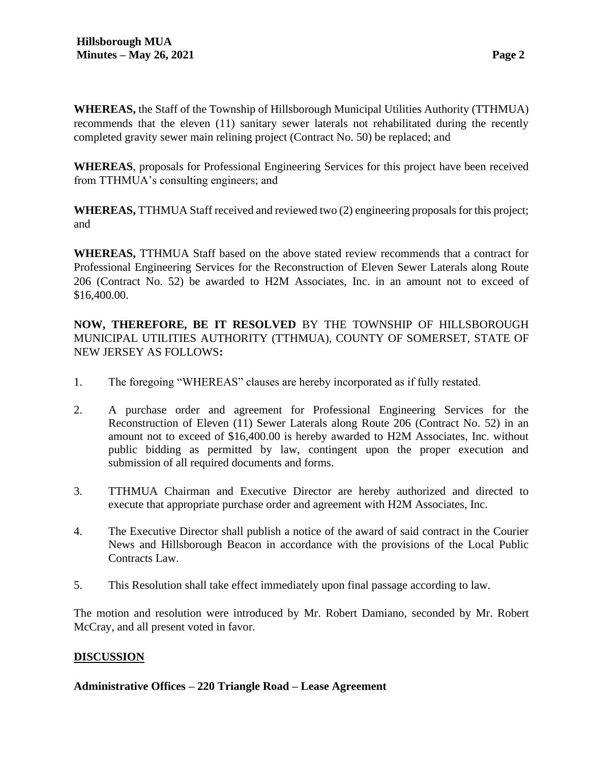**WHEREAS,** the Staff of the Township of Hillsborough Municipal Utilities Authority (TTHMUA) recommends that the eleven (11) sanitary sewer laterals not rehabilitated during the recently completed gravity sewer main relining project (Contract No. 50) be replaced; and

**WHEREAS**, proposals for Professional Engineering Services for this project have been received from TTHMUA's consulting engineers; and

**WHEREAS,** TTHMUA Staff received and reviewed two (2) engineering proposals for this project; and

**WHEREAS,** TTHMUA Staff based on the above stated review recommends that a contract for Professional Engineering Services for the Reconstruction of Eleven Sewer Laterals along Route 206 (Contract No. 52) be awarded to H2M Associates, Inc. in an amount not to exceed of \$16,400.00.

**NOW, THEREFORE, BE IT RESOLVED** BY THE TOWNSHIP OF HILLSBOROUGH MUNICIPAL UTILITIES AUTHORITY (TTHMUA), COUNTY OF SOMERSET, STATE OF NEW JERSEY AS FOLLOWS**:**

- 1. The foregoing "WHEREAS" clauses are hereby incorporated as if fully restated.
- 2. A purchase order and agreement for Professional Engineering Services for the Reconstruction of Eleven (11) Sewer Laterals along Route 206 (Contract No. 52) in an amount not to exceed of \$16,400.00 is hereby awarded to H2M Associates, Inc. without public bidding as permitted by law, contingent upon the proper execution and submission of all required documents and forms.
- 3. TTHMUA Chairman and Executive Director are hereby authorized and directed to execute that appropriate purchase order and agreement with H2M Associates, Inc.
- 4. The Executive Director shall publish a notice of the award of said contract in the Courier News and Hillsborough Beacon in accordance with the provisions of the Local Public Contracts Law.
- 5. This Resolution shall take effect immediately upon final passage according to law.

The motion and resolution were introduced by Mr. Robert Damiano, seconded by Mr. Robert McCray, and all present voted in favor.

## **DISCUSSION**

## **Administrative Offices – 220 Triangle Road – Lease Agreement**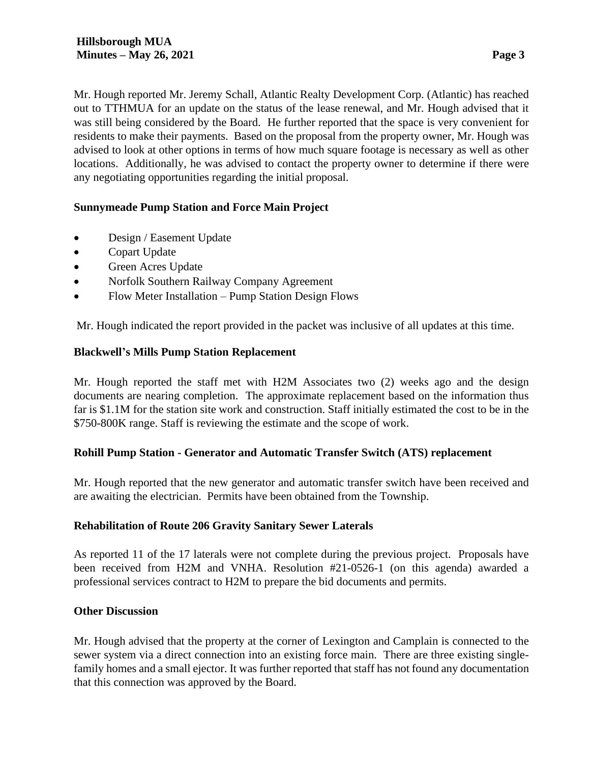Mr. Hough reported Mr. Jeremy Schall, Atlantic Realty Development Corp. (Atlantic) has reached out to TTHMUA for an update on the status of the lease renewal, and Mr. Hough advised that it was still being considered by the Board. He further reported that the space is very convenient for residents to make their payments. Based on the proposal from the property owner, Mr. Hough was advised to look at other options in terms of how much square footage is necessary as well as other locations. Additionally, he was advised to contact the property owner to determine if there were any negotiating opportunities regarding the initial proposal.

## **Sunnymeade Pump Station and Force Main Project**

- Design / Easement Update
- Copart Update
- Green Acres Update
- Norfolk Southern Railway Company Agreement
- Flow Meter Installation Pump Station Design Flows

Mr. Hough indicated the report provided in the packet was inclusive of all updates at this time.

#### **Blackwell's Mills Pump Station Replacement**

Mr. Hough reported the staff met with H2M Associates two (2) weeks ago and the design documents are nearing completion. The approximate replacement based on the information thus far is \$1.1M for the station site work and construction. Staff initially estimated the cost to be in the \$750-800K range. Staff is reviewing the estimate and the scope of work.

### **Rohill Pump Station - Generator and Automatic Transfer Switch (ATS) replacement**

Mr. Hough reported that the new generator and automatic transfer switch have been received and are awaiting the electrician. Permits have been obtained from the Township.

#### **Rehabilitation of Route 206 Gravity Sanitary Sewer Laterals**

As reported 11 of the 17 laterals were not complete during the previous project. Proposals have been received from H2M and VNHA. Resolution #21-0526-1 (on this agenda) awarded a professional services contract to H2M to prepare the bid documents and permits.

#### **Other Discussion**

Mr. Hough advised that the property at the corner of Lexington and Camplain is connected to the sewer system via a direct connection into an existing force main. There are three existing singlefamily homes and a small ejector. It was further reported that staff has not found any documentation that this connection was approved by the Board.